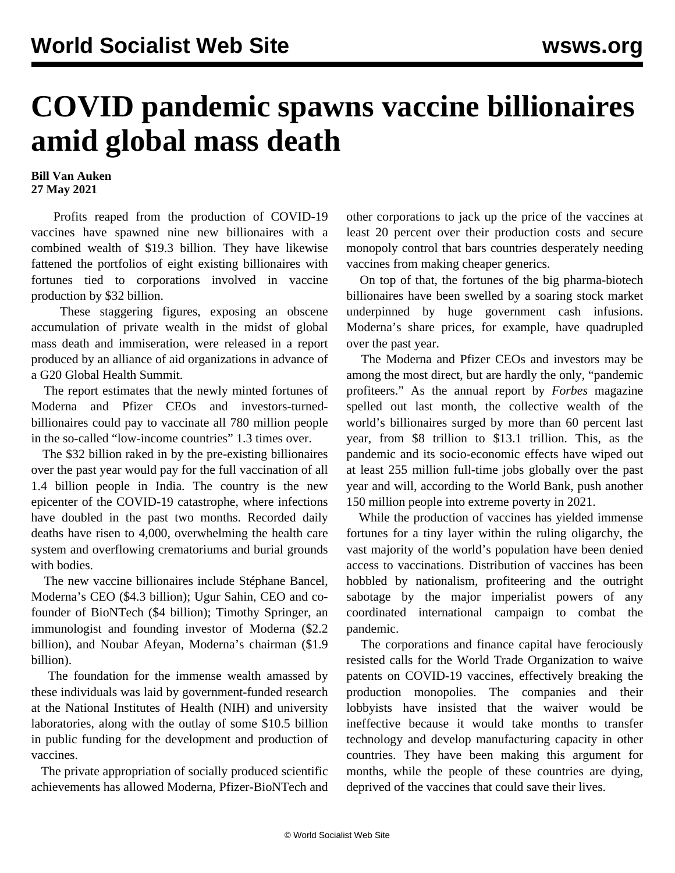## **COVID pandemic spawns vaccine billionaires amid global mass death**

## **Bill Van Auken 27 May 2021**

 Profits reaped from the production of COVID-19 vaccines have spawned nine new billionaires with a combined wealth of \$19.3 billion. They have likewise fattened the portfolios of eight existing billionaires with fortunes tied to corporations involved in vaccine production by \$32 billion.

 These staggering figures, exposing an obscene accumulation of private wealth in the midst of global mass death and immiseration, were released in a report produced by an alliance of aid organizations in advance of a G20 Global Health Summit.

 The report estimates that the newly minted fortunes of Moderna and Pfizer CEOs and investors-turnedbillionaires could pay to vaccinate all 780 million people in the so-called "low-income countries" 1.3 times over.

 The \$32 billion raked in by the pre-existing billionaires over the past year would pay for the full vaccination of all 1.4 billion people in India. The country is the new epicenter of the COVID-19 catastrophe, where infections have doubled in the past two months. Recorded daily deaths have risen to 4,000, overwhelming the health care system and overflowing crematoriums and burial grounds with bodies.

 The new vaccine billionaires include Stéphane Bancel, Moderna's CEO (\$4.3 billion); Ugur Sahin, CEO and cofounder of BioNTech (\$4 billion); Timothy Springer, an immunologist and founding investor of Moderna (\$2.2 billion), and Noubar Afeyan, Moderna's chairman (\$1.9 billion).

 The foundation for the immense wealth amassed by these individuals was laid by government-funded research at the National Institutes of Health (NIH) and university laboratories, along with the outlay of some \$10.5 billion in public funding for the development and production of vaccines.

 The private appropriation of socially produced scientific achievements has allowed Moderna, Pfizer-BioNTech and other corporations to jack up the price of the vaccines at least 20 percent over their production costs and secure monopoly control that bars countries desperately needing vaccines from making cheaper generics.

 On top of that, the fortunes of the big pharma-biotech billionaires have been swelled by a soaring stock market underpinned by huge government cash infusions. Moderna's share prices, for example, have quadrupled over the past year.

 The Moderna and Pfizer CEOs and investors may be among the most direct, but are hardly the only, "pandemic profiteers." As the annual report by *Forbes* magazine spelled out last month, the collective wealth of the world's billionaires surged by more than 60 percent last year, from \$8 trillion to \$13.1 trillion. This, as the pandemic and its socio-economic effects have wiped out at least 255 million full-time jobs globally over the past year and will, according to the World Bank, push another 150 million people into extreme poverty in 2021.

 While the production of vaccines has yielded immense fortunes for a tiny layer within the ruling oligarchy, the vast majority of the world's population have been denied access to vaccinations. Distribution of vaccines has been hobbled by nationalism, profiteering and the outright sabotage by the major imperialist powers of any coordinated international campaign to combat the pandemic.

 The corporations and finance capital have ferociously resisted calls for the World Trade Organization to waive patents on COVID-19 vaccines, effectively breaking the production monopolies. The companies and their lobbyists have insisted that the waiver would be ineffective because it would take months to transfer technology and develop manufacturing capacity in other countries. They have been making this argument for months, while the people of these countries are dying, deprived of the vaccines that could save their lives.